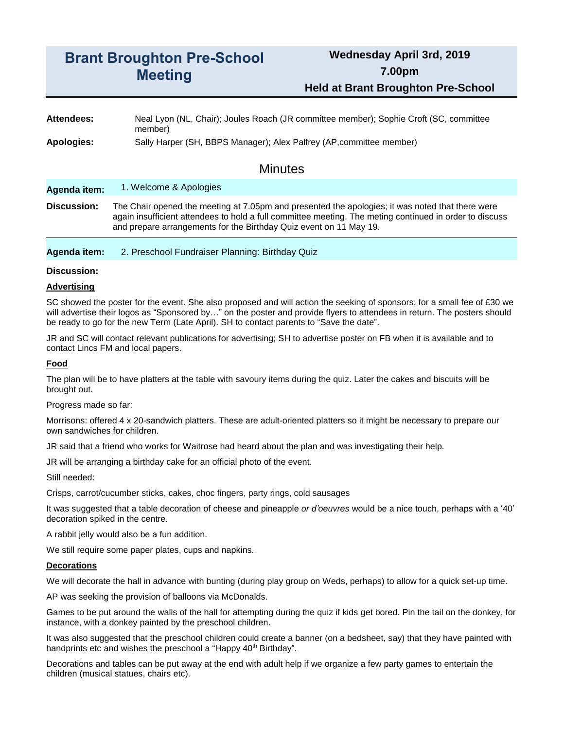# **Brant Broughton Pre-School Meeting**

# **Wednesday April 3rd, 2019 7.00pm Held at Brant Broughton Pre-School**

**Attendees:** Neal Lyon (NL, Chair); Joules Roach (JR committee member); Sophie Croft (SC, committee member)

**Apologies:** Sally Harper (SH, BBPS Manager); Alex Palfrey (AP,committee member)

## **Minutes**

**Agenda item:** 1. Welcome & Apologies

**Discussion:** The Chair opened the meeting at 7.05pm and presented the apologies; it was noted that there were again insufficient attendees to hold a full committee meeting. The meting continued in order to discuss and prepare arrangements for the Birthday Quiz event on 11 May 19.

#### **Agenda item:** 2. Preschool Fundraiser Planning: Birthday Quiz

#### **Discussion:**

#### **Advertising**

SC showed the poster for the event. She also proposed and will action the seeking of sponsors; for a small fee of £30 we will advertise their logos as "Sponsored by..." on the poster and provide flyers to attendees in return. The posters should be ready to go for the new Term (Late April). SH to contact parents to "Save the date".

JR and SC will contact relevant publications for advertising; SH to advertise poster on FB when it is available and to contact Lincs FM and local papers.

#### **Food**

The plan will be to have platters at the table with savoury items during the quiz. Later the cakes and biscuits will be brought out.

Progress made so far:

Morrisons: offered 4 x 20-sandwich platters. These are adult-oriented platters so it might be necessary to prepare our own sandwiches for children.

JR said that a friend who works for Waitrose had heard about the plan and was investigating their help.

JR will be arranging a birthday cake for an official photo of the event.

Still needed:

Crisps, carrot/cucumber sticks, cakes, choc fingers, party rings, cold sausages

It was suggested that a table decoration of cheese and pineapple *or d'oeuvres* would be a nice touch, perhaps with a '40' decoration spiked in the centre.

A rabbit jelly would also be a fun addition.

We still require some paper plates, cups and napkins.

#### **Decorations**

We will decorate the hall in advance with bunting (during play group on Weds, perhaps) to allow for a quick set-up time.

AP was seeking the provision of balloons via McDonalds.

Games to be put around the walls of the hall for attempting during the quiz if kids get bored. Pin the tail on the donkey, for instance, with a donkey painted by the preschool children.

It was also suggested that the preschool children could create a banner (on a bedsheet, say) that they have painted with handprints etc and wishes the preschool a "Happy 40<sup>th</sup> Birthday".

Decorations and tables can be put away at the end with adult help if we organize a few party games to entertain the children (musical statues, chairs etc).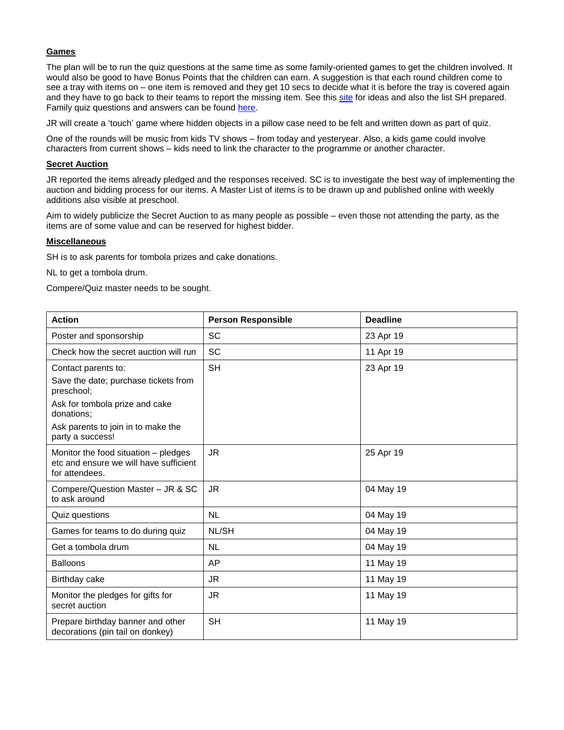#### **Games**

The plan will be to run the quiz questions at the same time as some family-oriented games to get the children involved. It would also be good to have Bonus Points that the children can earn. A suggestion is that each round children come to see a tray with items on – one item is removed and they get 10 secs to decide what it is before the tray is covered again and they have to go back to their teams to report the missing item. See this [site](https://www.kidspot.com.au/things-to-do/collection/indoor-games) for ideas and also the list SH prepared. Family quiz questions and answers can be found [here.](https://www.challengethebrain.com/questions-and-answers-family-quiz.htm)

JR will create a 'touch' game where hidden objects in a pillow case need to be felt and written down as part of quiz.

One of the rounds will be music from kids TV shows – from today and yesteryear. Also, a kids game could involve characters from current shows – kids need to link the character to the programme or another character.

#### **Secret Auction**

JR reported the items already pledged and the responses received. SC is to investigate the best way of implementing the auction and bidding process for our items. A Master List of items is to be drawn up and published online with weekly additions also visible at preschool.

Aim to widely publicize the Secret Auction to as many people as possible – even those not attending the party, as the items are of some value and can be reserved for highest bidder.

#### **Miscellaneous**

SH is to ask parents for tombola prizes and cake donations.

NL to get a tombola drum.

Compere/Quiz master needs to be sought.

| <b>Action</b>                                                                                    | <b>Person Responsible</b> | <b>Deadline</b> |
|--------------------------------------------------------------------------------------------------|---------------------------|-----------------|
| Poster and sponsorship                                                                           | <b>SC</b>                 | 23 Apr 19       |
| Check how the secret auction will run                                                            | <b>SC</b>                 | 11 Apr 19       |
| Contact parents to:                                                                              | <b>SH</b>                 | 23 Apr 19       |
| Save the date; purchase tickets from<br>preschool;                                               |                           |                 |
| Ask for tombola prize and cake<br>donations;                                                     |                           |                 |
| Ask parents to join in to make the<br>party a success!                                           |                           |                 |
| Monitor the food situation – pledges<br>etc and ensure we will have sufficient<br>for attendees. | <b>JR</b>                 | 25 Apr 19       |
| Compere/Question Master - JR & SC<br>to ask around                                               | <b>JR</b>                 | 04 May 19       |
| Quiz questions                                                                                   | <b>NL</b>                 | 04 May 19       |
| Games for teams to do during quiz                                                                | NL/SH                     | 04 May 19       |
| Get a tombola drum                                                                               | <b>NL</b>                 | 04 May 19       |
| <b>Balloons</b>                                                                                  | AP                        | 11 May 19       |
| Birthday cake                                                                                    | JR                        | 11 May 19       |
| Monitor the pledges for gifts for<br>secret auction                                              | <b>JR</b>                 | 11 May 19       |
| Prepare birthday banner and other<br>decorations (pin tail on donkey)                            | <b>SH</b>                 | 11 May 19       |